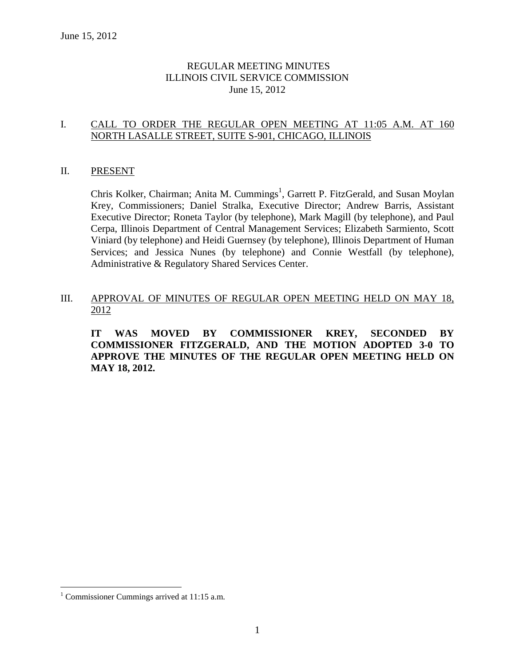## REGULAR MEETING MINUTES ILLINOIS CIVIL SERVICE COMMISSION June 15, 2012

## I. CALL TO ORDER THE REGULAR OPEN MEETING AT 11:05 A.M. AT 160 NORTH LASALLE STREET, SUITE S-901, CHICAGO, ILLINOIS

#### II. PRESENT

Chris Kolker, Chairman; Anita M. Cummings<sup>1</sup>, Garrett P. FitzGerald, and Susan Moylan Krey, Commissioners; Daniel Stralka, Executive Director; Andrew Barris, Assistant Executive Director; Roneta Taylor (by telephone), Mark Magill (by telephone), and Paul Cerpa, Illinois Department of Central Management Services; Elizabeth Sarmiento, Scott Viniard (by telephone) and Heidi Guernsey (by telephone), Illinois Department of Human Services; and Jessica Nunes (by telephone) and Connie Westfall (by telephone), Administrative & Regulatory Shared Services Center.

## III. APPROVAL OF MINUTES OF REGULAR OPEN MEETING HELD ON MAY 18, 2012

**IT WAS MOVED BY COMMISSIONER KREY, SECONDED BY COMMISSIONER FITZGERALD, AND THE MOTION ADOPTED 3-0 TO APPROVE THE MINUTES OF THE REGULAR OPEN MEETING HELD ON MAY 18, 2012.**

 $\overline{a}$ 

<sup>1</sup> Commissioner Cummings arrived at 11:15 a.m.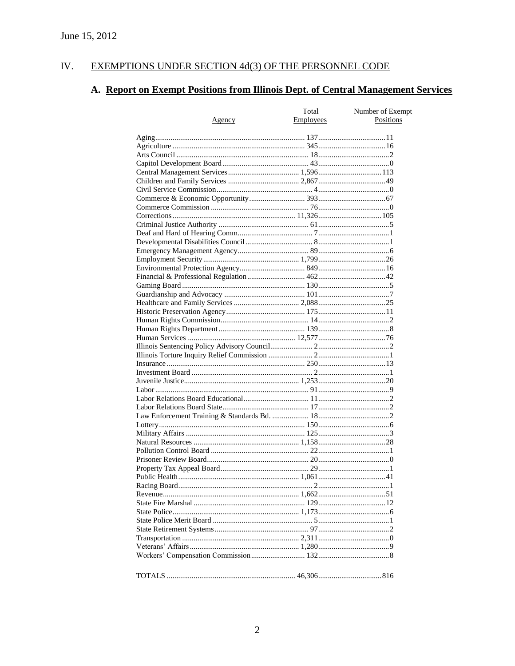#### EXEMPTIONS UNDER SECTION 4d(3) OF THE PERSONNEL CODE IV.

# A. Report on Exempt Positions from Illinois Dept. of Central Management Services

|        | Total            | Number of Exempt |
|--------|------------------|------------------|
| Agency | <b>Employees</b> | Positions        |
|        |                  |                  |
|        |                  |                  |
|        |                  |                  |
|        |                  |                  |
|        |                  |                  |
|        |                  |                  |
|        |                  |                  |
|        |                  |                  |
|        |                  |                  |
|        |                  |                  |
|        |                  |                  |
|        |                  |                  |
|        |                  |                  |
|        |                  |                  |
|        |                  |                  |
|        |                  |                  |
|        |                  |                  |
|        |                  |                  |
|        |                  |                  |
|        |                  |                  |
|        |                  |                  |
|        |                  |                  |
|        |                  |                  |
|        |                  |                  |
|        |                  |                  |
|        |                  |                  |
|        |                  |                  |
|        |                  |                  |
|        |                  |                  |
|        |                  |                  |
|        |                  |                  |
|        |                  |                  |
|        |                  |                  |
|        |                  |                  |
|        |                  |                  |
|        |                  |                  |
|        |                  |                  |
|        |                  |                  |
|        |                  |                  |
|        |                  |                  |
|        |                  |                  |
|        |                  |                  |
|        |                  |                  |
|        |                  |                  |
|        |                  |                  |
|        |                  |                  |
|        |                  |                  |
|        |                  |                  |
|        |                  |                  |
|        |                  |                  |
|        |                  |                  |
|        |                  |                  |
|        |                  |                  |
|        |                  |                  |
|        |                  |                  |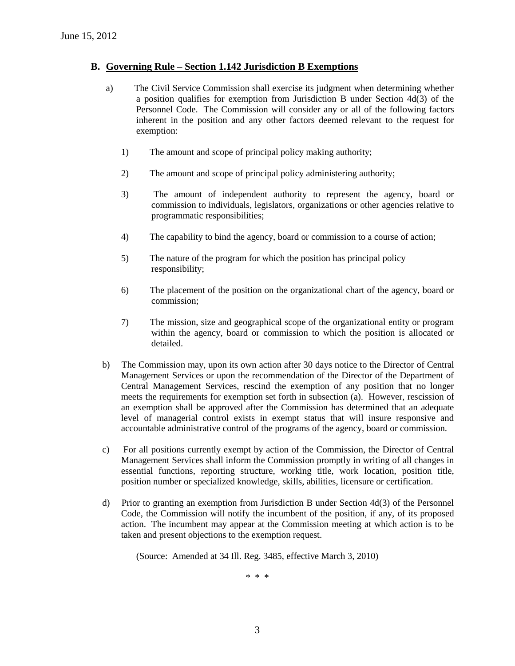#### **B. Governing Rule – Section 1.142 Jurisdiction B Exemptions**

- a) The Civil Service Commission shall exercise its judgment when determining whether a position qualifies for exemption from Jurisdiction B under Section 4d(3) of the Personnel Code. The Commission will consider any or all of the following factors inherent in the position and any other factors deemed relevant to the request for exemption:
	- 1) The amount and scope of principal policy making authority;
	- 2) The amount and scope of principal policy administering authority;
	- 3) The amount of independent authority to represent the agency, board or commission to individuals, legislators, organizations or other agencies relative to programmatic responsibilities;
	- 4) The capability to bind the agency, board or commission to a course of action;
	- 5) The nature of the program for which the position has principal policy responsibility;
	- 6) The placement of the position on the organizational chart of the agency, board or commission;
	- 7) The mission, size and geographical scope of the organizational entity or program within the agency, board or commission to which the position is allocated or detailed.
- b) The Commission may, upon its own action after 30 days notice to the Director of Central Management Services or upon the recommendation of the Director of the Department of Central Management Services, rescind the exemption of any position that no longer meets the requirements for exemption set forth in subsection (a). However, rescission of an exemption shall be approved after the Commission has determined that an adequate level of managerial control exists in exempt status that will insure responsive and accountable administrative control of the programs of the agency, board or commission.
- c) For all positions currently exempt by action of the Commission, the Director of Central Management Services shall inform the Commission promptly in writing of all changes in essential functions, reporting structure, working title, work location, position title, position number or specialized knowledge, skills, abilities, licensure or certification.
- d) Prior to granting an exemption from Jurisdiction B under Section 4d(3) of the Personnel Code, the Commission will notify the incumbent of the position, if any, of its proposed action. The incumbent may appear at the Commission meeting at which action is to be taken and present objections to the exemption request.

(Source: Amended at 34 Ill. Reg. 3485, effective March 3, 2010)

\* \* \*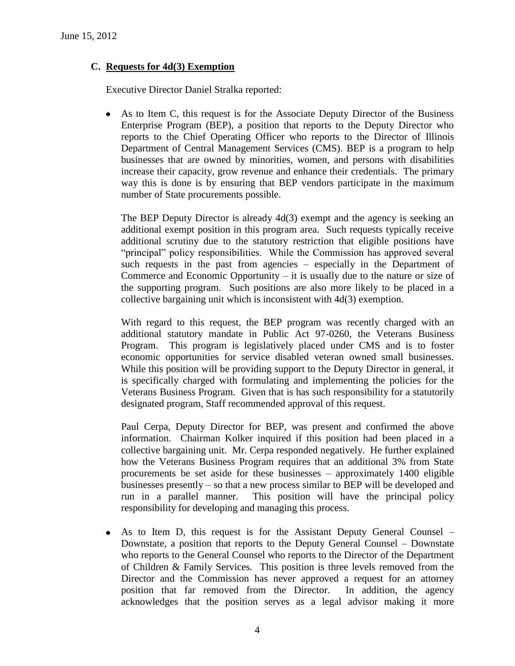## **C. Requests for 4d(3) Exemption**

Executive Director Daniel Stralka reported:

As to Item C, this request is for the Associate Deputy Director of the Business  $\bullet$ Enterprise Program (BEP), a position that reports to the Deputy Director who reports to the Chief Operating Officer who reports to the Director of Illinois Department of Central Management Services (CMS). BEP is a program to help businesses that are owned by minorities, women, and persons with disabilities increase their capacity, grow revenue and enhance their credentials. The primary way this is done is by ensuring that BEP vendors participate in the maximum number of State procurements possible.

The BEP Deputy Director is already 4d(3) exempt and the agency is seeking an additional exempt position in this program area. Such requests typically receive additional scrutiny due to the statutory restriction that eligible positions have "principal" policy responsibilities. While the Commission has approved several such requests in the past from agencies – especially in the Department of Commerce and Economic Opportunity  $-$  it is usually due to the nature or size of the supporting program. Such positions are also more likely to be placed in a collective bargaining unit which is inconsistent with 4d(3) exemption.

With regard to this request, the BEP program was recently charged with an additional statutory mandate in Public Act 97-0260, the Veterans Business Program. This program is legislatively placed under CMS and is to foster economic opportunities for service disabled veteran owned small businesses. While this position will be providing support to the Deputy Director in general, it is specifically charged with formulating and implementing the policies for the Veterans Business Program. Given that is has such responsibility for a statutorily designated program, Staff recommended approval of this request.

Paul Cerpa, Deputy Director for BEP, was present and confirmed the above information. Chairman Kolker inquired if this position had been placed in a collective bargaining unit. Mr. Cerpa responded negatively. He further explained how the Veterans Business Program requires that an additional 3% from State procurements be set aside for these businesses – approximately 1400 eligible businesses presently – so that a new process similar to BEP will be developed and run in a parallel manner. This position will have the principal policy responsibility for developing and managing this process.

As to Item D, this request is for the Assistant Deputy General Counsel –  $\bullet$ Downstate, a position that reports to the Deputy General Counsel – Downstate who reports to the General Counsel who reports to the Director of the Department of Children & Family Services. This position is three levels removed from the Director and the Commission has never approved a request for an attorney position that far removed from the Director. In addition, the agency acknowledges that the position serves as a legal advisor making it more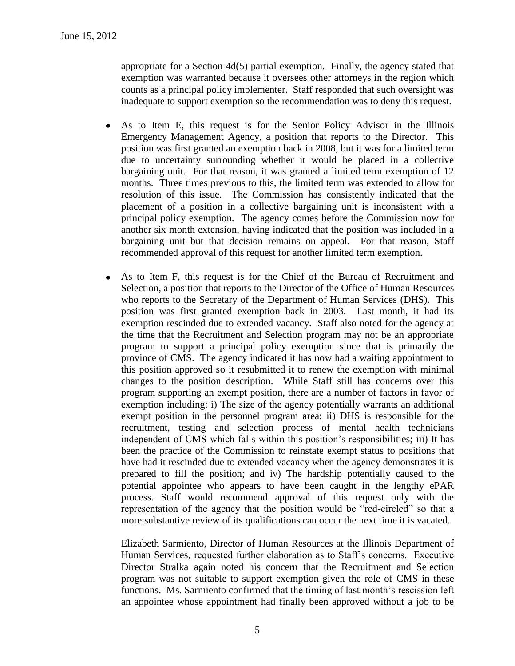appropriate for a Section 4d(5) partial exemption. Finally, the agency stated that exemption was warranted because it oversees other attorneys in the region which counts as a principal policy implementer. Staff responded that such oversight was inadequate to support exemption so the recommendation was to deny this request.

- As to Item E, this request is for the Senior Policy Advisor in the Illinois  $\bullet$ Emergency Management Agency, a position that reports to the Director. This position was first granted an exemption back in 2008, but it was for a limited term due to uncertainty surrounding whether it would be placed in a collective bargaining unit. For that reason, it was granted a limited term exemption of 12 months. Three times previous to this, the limited term was extended to allow for resolution of this issue. The Commission has consistently indicated that the placement of a position in a collective bargaining unit is inconsistent with a principal policy exemption. The agency comes before the Commission now for another six month extension, having indicated that the position was included in a bargaining unit but that decision remains on appeal. For that reason, Staff recommended approval of this request for another limited term exemption.
- $\bullet$ As to Item F, this request is for the Chief of the Bureau of Recruitment and Selection, a position that reports to the Director of the Office of Human Resources who reports to the Secretary of the Department of Human Services (DHS). This position was first granted exemption back in 2003. Last month, it had its exemption rescinded due to extended vacancy. Staff also noted for the agency at the time that the Recruitment and Selection program may not be an appropriate program to support a principal policy exemption since that is primarily the province of CMS. The agency indicated it has now had a waiting appointment to this position approved so it resubmitted it to renew the exemption with minimal changes to the position description. While Staff still has concerns over this program supporting an exempt position, there are a number of factors in favor of exemption including: i) The size of the agency potentially warrants an additional exempt position in the personnel program area; ii) DHS is responsible for the recruitment, testing and selection process of mental health technicians independent of CMS which falls within this position's responsibilities; iii) It has been the practice of the Commission to reinstate exempt status to positions that have had it rescinded due to extended vacancy when the agency demonstrates it is prepared to fill the position; and iv) The hardship potentially caused to the potential appointee who appears to have been caught in the lengthy ePAR process. Staff would recommend approval of this request only with the representation of the agency that the position would be "red-circled" so that a more substantive review of its qualifications can occur the next time it is vacated.

Elizabeth Sarmiento, Director of Human Resources at the Illinois Department of Human Services, requested further elaboration as to Staff's concerns. Executive Director Stralka again noted his concern that the Recruitment and Selection program was not suitable to support exemption given the role of CMS in these functions. Ms. Sarmiento confirmed that the timing of last month's rescission left an appointee whose appointment had finally been approved without a job to be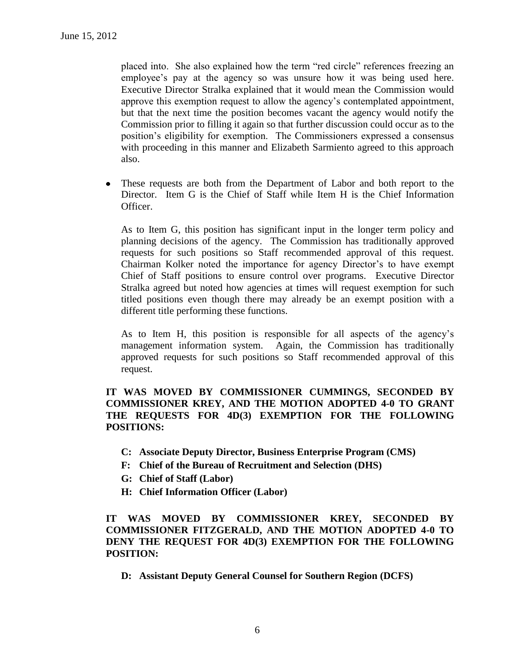placed into. She also explained how the term "red circle" references freezing an employee's pay at the agency so was unsure how it was being used here. Executive Director Stralka explained that it would mean the Commission would approve this exemption request to allow the agency's contemplated appointment, but that the next time the position becomes vacant the agency would notify the Commission prior to filling it again so that further discussion could occur as to the position's eligibility for exemption. The Commissioners expressed a consensus with proceeding in this manner and Elizabeth Sarmiento agreed to this approach also.

 $\bullet$ These requests are both from the Department of Labor and both report to the Director. Item G is the Chief of Staff while Item H is the Chief Information Officer.

As to Item G, this position has significant input in the longer term policy and planning decisions of the agency. The Commission has traditionally approved requests for such positions so Staff recommended approval of this request. Chairman Kolker noted the importance for agency Director's to have exempt Chief of Staff positions to ensure control over programs. Executive Director Stralka agreed but noted how agencies at times will request exemption for such titled positions even though there may already be an exempt position with a different title performing these functions.

As to Item H, this position is responsible for all aspects of the agency's management information system. Again, the Commission has traditionally approved requests for such positions so Staff recommended approval of this request.

### **IT WAS MOVED BY COMMISSIONER CUMMINGS, SECONDED BY COMMISSIONER KREY, AND THE MOTION ADOPTED 4-0 TO GRANT THE REQUESTS FOR 4D(3) EXEMPTION FOR THE FOLLOWING POSITIONS:**

- **C: Associate Deputy Director, Business Enterprise Program (CMS)**
- **F: Chief of the Bureau of Recruitment and Selection (DHS)**
- **G: Chief of Staff (Labor)**
- **H: Chief Information Officer (Labor)**

**IT WAS MOVED BY COMMISSIONER KREY, SECONDED BY COMMISSIONER FITZGERALD, AND THE MOTION ADOPTED 4-0 TO DENY THE REQUEST FOR 4D(3) EXEMPTION FOR THE FOLLOWING POSITION:**

**D: Assistant Deputy General Counsel for Southern Region (DCFS)**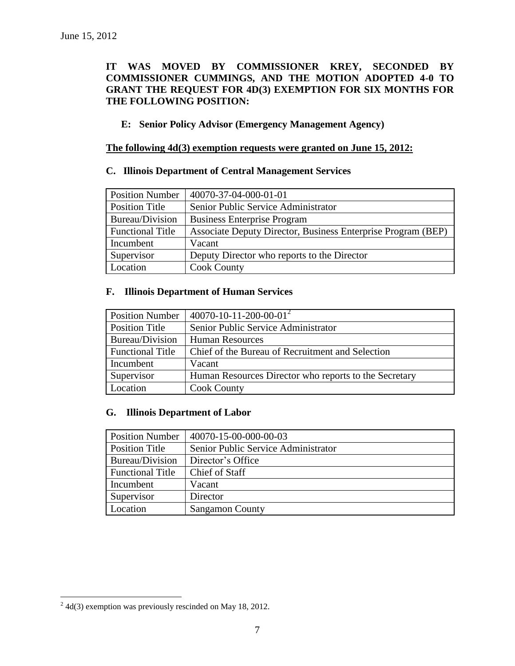## **IT WAS MOVED BY COMMISSIONER KREY, SECONDED BY COMMISSIONER CUMMINGS, AND THE MOTION ADOPTED 4-0 TO GRANT THE REQUEST FOR 4D(3) EXEMPTION FOR SIX MONTHS FOR THE FOLLOWING POSITION:**

#### **E: Senior Policy Advisor (Emergency Management Agency)**

#### **The following 4d(3) exemption requests were granted on June 15, 2012:**

## **C. Illinois Department of Central Management Services**

| <b>Position Number</b>  | 40070-37-04-000-01-01                                        |
|-------------------------|--------------------------------------------------------------|
| <b>Position Title</b>   | Senior Public Service Administrator                          |
| Bureau/Division         | <b>Business Enterprise Program</b>                           |
| <b>Functional Title</b> | Associate Deputy Director, Business Enterprise Program (BEP) |
| Incumbent               | Vacant                                                       |
| Supervisor              | Deputy Director who reports to the Director                  |
| Location                | <b>Cook County</b>                                           |

#### **F. Illinois Department of Human Services**

| <b>Position Number</b>  | $40070 - 10 - 11 - 200 - 00 - 01^2$                   |
|-------------------------|-------------------------------------------------------|
| Position Title          | Senior Public Service Administrator                   |
| Bureau/Division         | <b>Human Resources</b>                                |
| <b>Functional Title</b> | Chief of the Bureau of Recruitment and Selection      |
| Incumbent               | Vacant                                                |
| Supervisor              | Human Resources Director who reports to the Secretary |
| Location                | <b>Cook County</b>                                    |

#### **G. Illinois Department of Labor**

| <b>Position Number</b>  | 40070-15-00-000-00-03               |
|-------------------------|-------------------------------------|
| <b>Position Title</b>   | Senior Public Service Administrator |
| Bureau/Division         | Director's Office                   |
| <b>Functional Title</b> | Chief of Staff                      |
| Incumbent               | Vacant                              |
| Supervisor              | Director                            |
| Location                | <b>Sangamon County</b>              |

 2 4d(3) exemption was previously rescinded on May 18, 2012.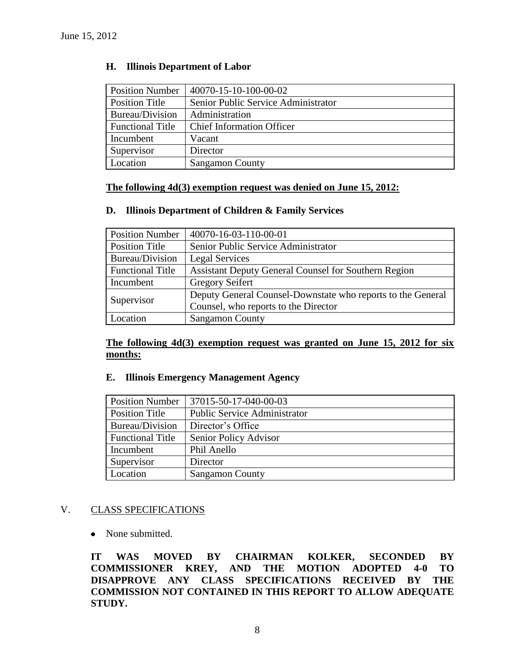| <b>Position Number</b>  | 40070-15-10-100-00-02               |
|-------------------------|-------------------------------------|
| <b>Position Title</b>   | Senior Public Service Administrator |
| Bureau/Division         | Administration                      |
| <b>Functional Title</b> | <b>Chief Information Officer</b>    |
| Incumbent               | Vacant                              |
| Supervisor              | Director                            |
| Location                | <b>Sangamon County</b>              |

#### **H. Illinois Department of Labor**

#### **The following 4d(3) exemption request was denied on June 15, 2012:**

## **D. Illinois Department of Children & Family Services**

| <b>Position Number</b>  | 40070-16-03-110-00-01                                       |
|-------------------------|-------------------------------------------------------------|
| Position Title          | Senior Public Service Administrator                         |
| Bureau/Division         | Legal Services                                              |
| <b>Functional Title</b> | <b>Assistant Deputy General Counsel for Southern Region</b> |
| Incumbent               | <b>Gregory Seifert</b>                                      |
| Supervisor              | Deputy General Counsel-Downstate who reports to the General |
|                         | Counsel, who reports to the Director                        |
| Location                | <b>Sangamon County</b>                                      |

**The following 4d(3) exemption request was granted on June 15, 2012 for six months:**

#### **E. Illinois Emergency Management Agency**

| <b>Position Number</b>  | 37015-50-17-040-00-03               |
|-------------------------|-------------------------------------|
| Position Title          | <b>Public Service Administrator</b> |
| Bureau/Division         | Director's Office                   |
| <b>Functional Title</b> | Senior Policy Advisor               |
| Incumbent               | Phil Anello                         |
| Supervisor              | Director                            |
| Location                | <b>Sangamon County</b>              |

#### V. CLASS SPECIFICATIONS

#### • None submitted.

**IT WAS MOVED BY CHAIRMAN KOLKER, SECONDED BY COMMISSIONER KREY, AND THE MOTION ADOPTED 4-0 TO DISAPPROVE ANY CLASS SPECIFICATIONS RECEIVED BY THE COMMISSION NOT CONTAINED IN THIS REPORT TO ALLOW ADEQUATE STUDY.**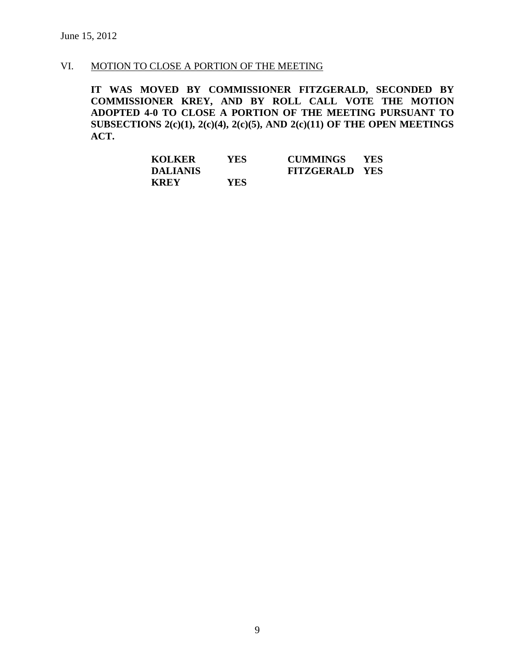## VI. MOTION TO CLOSE A PORTION OF THE MEETING

**IT WAS MOVED BY COMMISSIONER FITZGERALD, SECONDED BY COMMISSIONER KREY, AND BY ROLL CALL VOTE THE MOTION ADOPTED 4-0 TO CLOSE A PORTION OF THE MEETING PURSUANT TO SUBSECTIONS 2(c)(1), 2(c)(4), 2(c)(5), AND 2(c)(11) OF THE OPEN MEETINGS ACT.**

| <b>KOLKER</b>   | <b>YES</b> | CUMMINGS YES          |  |
|-----------------|------------|-----------------------|--|
| <b>DALIANIS</b> |            | <b>FITZGERALD YES</b> |  |
| <b>KREY</b>     | YES.       |                       |  |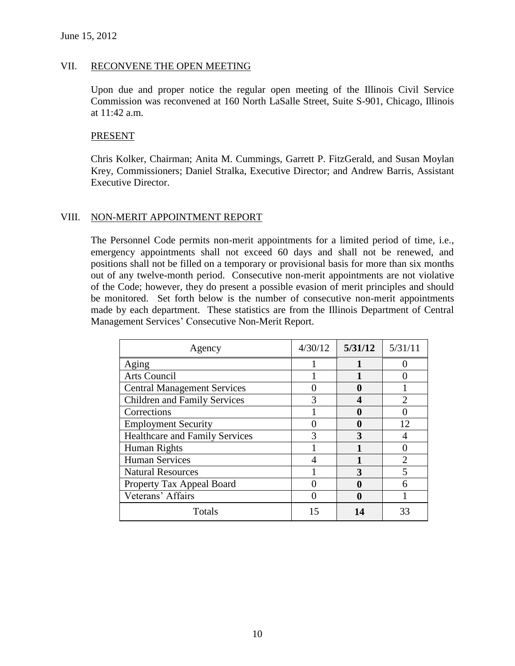#### VII. RECONVENE THE OPEN MEETING

Upon due and proper notice the regular open meeting of the Illinois Civil Service Commission was reconvened at 160 North LaSalle Street, Suite S-901, Chicago, Illinois at 11:42 a.m.

#### PRESENT

Chris Kolker, Chairman; Anita M. Cummings, Garrett P. FitzGerald, and Susan Moylan Krey, Commissioners; Daniel Stralka, Executive Director; and Andrew Barris, Assistant Executive Director.

#### VIII. NON-MERIT APPOINTMENT REPORT

The Personnel Code permits non-merit appointments for a limited period of time, i.e., emergency appointments shall not exceed 60 days and shall not be renewed, and positions shall not be filled on a temporary or provisional basis for more than six months out of any twelve-month period. Consecutive non-merit appointments are not violative of the Code; however, they do present a possible evasion of merit principles and should be monitored. Set forth below is the number of consecutive non-merit appointments made by each department. These statistics are from the Illinois Department of Central Management Services' Consecutive Non-Merit Report.

| Agency                                | 4/30/12 | 5/31/12 | 5/31/11 |
|---------------------------------------|---------|---------|---------|
| Aging                                 |         |         |         |
| Arts Council                          |         |         |         |
| <b>Central Management Services</b>    |         |         |         |
| <b>Children and Family Services</b>   |         |         |         |
| Corrections                           |         |         |         |
| <b>Employment Security</b>            |         |         | 12      |
| <b>Healthcare and Family Services</b> |         |         |         |
| Human Rights                          |         |         |         |
| <b>Human Services</b>                 |         |         |         |
| <b>Natural Resources</b>              |         |         |         |
| Property Tax Appeal Board             |         |         |         |
| Veterans' Affairs                     |         |         |         |
| Totals                                | 15      | 14      | 33      |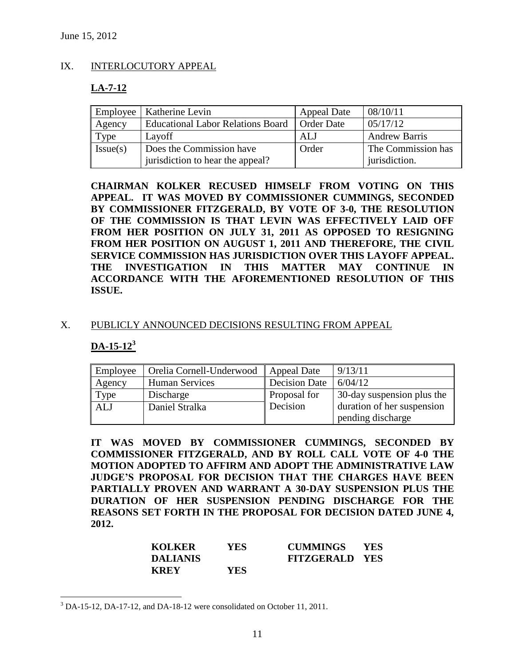#### IX. INTERLOCUTORY APPEAL

## **LA-7-12**

|          | Employee   Katherine Levin                                   | <b>Appeal Date</b> | 08/10/11                            |
|----------|--------------------------------------------------------------|--------------------|-------------------------------------|
| Agency   | <b>Educational Labor Relations Board</b>                     | <b>Order Date</b>  | 05/17/12                            |
| Type     | Layoff                                                       | ALJ                | <b>Andrew Barris</b>                |
| Issue(s) | Does the Commission have<br>jurisdiction to hear the appeal? | Order              | The Commission has<br>jurisdiction. |
|          |                                                              |                    |                                     |

**CHAIRMAN KOLKER RECUSED HIMSELF FROM VOTING ON THIS APPEAL. IT WAS MOVED BY COMMISSIONER CUMMINGS, SECONDED BY COMMISSIONER FITZGERALD, BY VOTE OF 3-0, THE RESOLUTION OF THE COMMISSION IS THAT LEVIN WAS EFFECTIVELY LAID OFF FROM HER POSITION ON JULY 31, 2011 AS OPPOSED TO RESIGNING FROM HER POSITION ON AUGUST 1, 2011 AND THEREFORE, THE CIVIL SERVICE COMMISSION HAS JURISDICTION OVER THIS LAYOFF APPEAL. THE INVESTIGATION IN THIS MATTER MAY CONTINUE IN ACCORDANCE WITH THE AFOREMENTIONED RESOLUTION OF THIS ISSUE.**

#### X. PUBLICLY ANNOUNCED DECISIONS RESULTING FROM APPEAL

## **DA-15-12<sup>3</sup>**

 $\overline{a}$ 

| Employee   | Orelia Cornell-Underwood | Appeal Date          | 9/13/11                    |
|------------|--------------------------|----------------------|----------------------------|
| Agency     | <b>Human Services</b>    | <b>Decision Date</b> | 6/04/12                    |
| Type       | Discharge                | Proposal for         | 30-day suspension plus the |
| <b>ALJ</b> | Daniel Stralka           | Decision             | duration of her suspension |
|            |                          |                      | pending discharge          |

**IT WAS MOVED BY COMMISSIONER CUMMINGS, SECONDED BY COMMISSIONER FITZGERALD, AND BY ROLL CALL VOTE OF 4-0 THE MOTION ADOPTED TO AFFIRM AND ADOPT THE ADMINISTRATIVE LAW JUDGE'S PROPOSAL FOR DECISION THAT THE CHARGES HAVE BEEN PARTIALLY PROVEN AND WARRANT A 30-DAY SUSPENSION PLUS THE DURATION OF HER SUSPENSION PENDING DISCHARGE FOR THE REASONS SET FORTH IN THE PROPOSAL FOR DECISION DATED JUNE 4, 2012.**

| <b>KOLKER</b>   | YES  | <b>CUMMINGS</b>       | <b>YES</b> |
|-----------------|------|-----------------------|------------|
| <b>DALIANIS</b> |      | <b>FITZGERALD YES</b> |            |
| <b>KREY</b>     | YES. |                       |            |

<sup>&</sup>lt;sup>3</sup> DA-15-12, DA-17-12, and DA-18-12 were consolidated on October 11, 2011.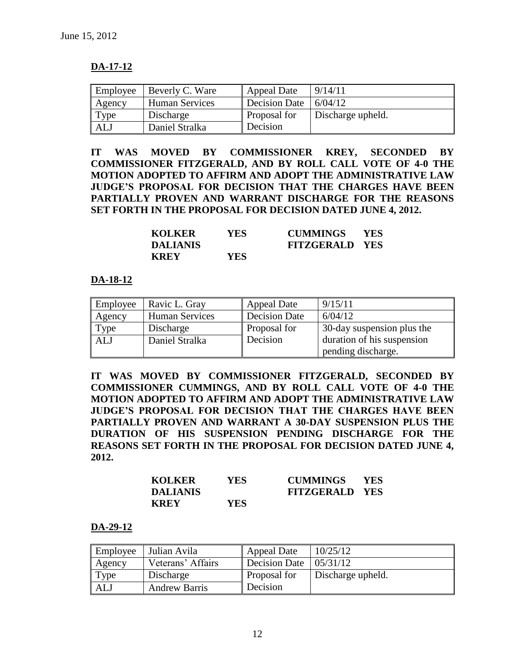## **DA-17-12**

| Employee | Beverly C. Ware       | <b>Appeal Date</b> | 9/14/11           |
|----------|-----------------------|--------------------|-------------------|
| Agency   | <b>Human Services</b> | Decision Date      | 6/04/12           |
| Type     | Discharge             | Proposal for       | Discharge upheld. |
| ALJ      | Daniel Stralka        | Decision           |                   |

**IT WAS MOVED BY COMMISSIONER KREY, SECONDED BY COMMISSIONER FITZGERALD, AND BY ROLL CALL VOTE OF 4-0 THE MOTION ADOPTED TO AFFIRM AND ADOPT THE ADMINISTRATIVE LAW JUDGE'S PROPOSAL FOR DECISION THAT THE CHARGES HAVE BEEN PARTIALLY PROVEN AND WARRANT DISCHARGE FOR THE REASONS SET FORTH IN THE PROPOSAL FOR DECISION DATED JUNE 4, 2012.**

| <b>KOLKER</b> | <b>YES</b> | <b>CUMMINGS</b>       | <b>YES</b> |
|---------------|------------|-----------------------|------------|
| DALIANIS      |            | <b>FITZGERALD YES</b> |            |
| <b>KREY</b>   | YES        |                       |            |

### **DA-18-12**

| Employee | Ravic L. Gray         | Appeal Date          | 9/15/11                    |
|----------|-----------------------|----------------------|----------------------------|
| Agency   | <b>Human Services</b> | <b>Decision Date</b> | 6/04/12                    |
| Type     | Discharge             | Proposal for         | 30-day suspension plus the |
| ALJ      | Daniel Stralka        | Decision             | duration of his suspension |
|          |                       |                      | pending discharge.         |

**IT WAS MOVED BY COMMISSIONER FITZGERALD, SECONDED BY COMMISSIONER CUMMINGS, AND BY ROLL CALL VOTE OF 4-0 THE MOTION ADOPTED TO AFFIRM AND ADOPT THE ADMINISTRATIVE LAW JUDGE'S PROPOSAL FOR DECISION THAT THE CHARGES HAVE BEEN PARTIALLY PROVEN AND WARRANT A 30-DAY SUSPENSION PLUS THE DURATION OF HIS SUSPENSION PENDING DISCHARGE FOR THE REASONS SET FORTH IN THE PROPOSAL FOR DECISION DATED JUNE 4, 2012.**

| <b>KOLKER</b>   | YES | <b>CUMMINGS</b>       | <b>YES</b> |
|-----------------|-----|-----------------------|------------|
| <b>DALIANIS</b> |     | <b>FITZGERALD YES</b> |            |
| <b>KREY</b>     | YES |                       |            |

#### **DA-29-12**

| Employee   | Julian Avila         | <b>Appeal Date</b>                   | 10/25/12          |
|------------|----------------------|--------------------------------------|-------------------|
| Agency     | Veterans' Affairs    | Decision Date $\vert 05/31/12 \vert$ |                   |
| Type       | Discharge            | Proposal for                         | Discharge upheld. |
| <b>ALJ</b> | <b>Andrew Barris</b> | Decision                             |                   |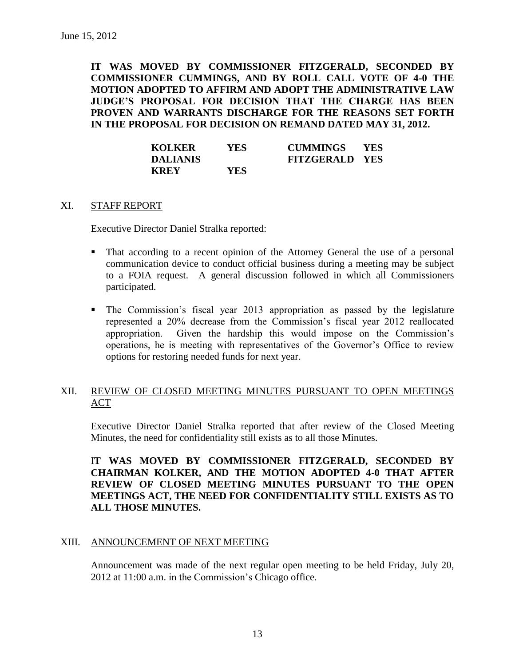**IT WAS MOVED BY COMMISSIONER FITZGERALD, SECONDED BY COMMISSIONER CUMMINGS, AND BY ROLL CALL VOTE OF 4-0 THE MOTION ADOPTED TO AFFIRM AND ADOPT THE ADMINISTRATIVE LAW JUDGE'S PROPOSAL FOR DECISION THAT THE CHARGE HAS BEEN PROVEN AND WARRANTS DISCHARGE FOR THE REASONS SET FORTH IN THE PROPOSAL FOR DECISION ON REMAND DATED MAY 31, 2012.**

| <b>KOLKER</b>   | YES        | <b>CUMMINGS</b>       | <b>YES</b> |
|-----------------|------------|-----------------------|------------|
| <b>DALIANIS</b> |            | <b>FITZGERALD YES</b> |            |
| <b>KREY</b>     | <b>YES</b> |                       |            |

#### XI. STAFF REPORT

Executive Director Daniel Stralka reported:

- That according to a recent opinion of the Attorney General the use of a personal communication device to conduct official business during a meeting may be subject to a FOIA request. A general discussion followed in which all Commissioners participated.
- The Commission's fiscal year 2013 appropriation as passed by the legislature represented a 20% decrease from the Commission's fiscal year 2012 reallocated appropriation. Given the hardship this would impose on the Commission's operations, he is meeting with representatives of the Governor's Office to review options for restoring needed funds for next year.

## XII. REVIEW OF CLOSED MEETING MINUTES PURSUANT TO OPEN MEETINGS ACT

Executive Director Daniel Stralka reported that after review of the Closed Meeting Minutes, the need for confidentiality still exists as to all those Minutes.

I**T WAS MOVED BY COMMISSIONER FITZGERALD, SECONDED BY CHAIRMAN KOLKER, AND THE MOTION ADOPTED 4-0 THAT AFTER REVIEW OF CLOSED MEETING MINUTES PURSUANT TO THE OPEN MEETINGS ACT, THE NEED FOR CONFIDENTIALITY STILL EXISTS AS TO ALL THOSE MINUTES.**

#### XIII. ANNOUNCEMENT OF NEXT MEETING

Announcement was made of the next regular open meeting to be held Friday, July 20, 2012 at 11:00 a.m. in the Commission's Chicago office.